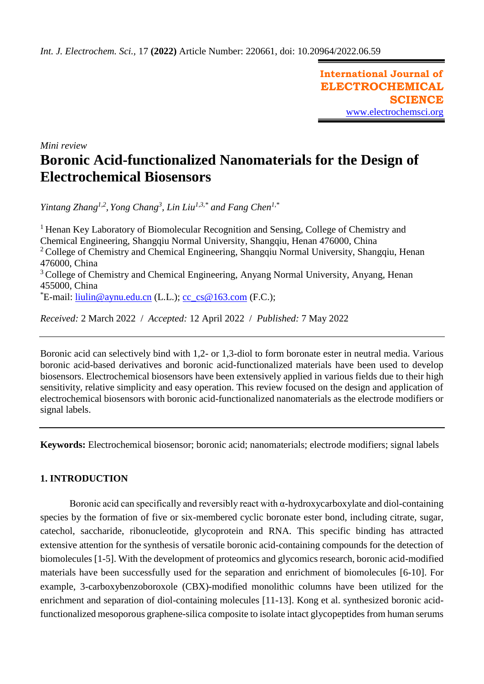**International Journal of ELECTROCHEMICAL SCIENCE** [www.electrochemsci.org](http://www.electrochemsci.org/)

*Mini review*

# **Boronic Acid-functionalized Nanomaterials for the Design of Electrochemical Biosensors**

*Yintang Zhang1,2 , Yong Chang<sup>3</sup> , Lin Liu1,3,\* and Fang Chen1,\**

<sup>1</sup> Henan Key Laboratory of Biomolecular Recognition and Sensing, College of Chemistry and Chemical Engineering, Shangqiu Normal University, Shangqiu, Henan 476000, China <sup>2</sup> College of Chemistry and Chemical Engineering, Shangqiu Normal University, Shangqiu, Henan 476000, China <sup>3</sup> College of Chemistry and Chemical Engineering, Anyang Normal University, Anyang, Henan 455000, China  $E$ -mail: [liulin@aynu.edu.cn](mailto:liulin@aynu.edu.cn) (L.L.); [cc\\_cs@163.com](mailto:cc_cs@163.com) (F.C.);

*Received:* 2 March 2022/ *Accepted:* 12 April 2022 / *Published:* 7 May 2022

Boronic acid can selectively bind with 1,2- or 1,3-diol to form boronate ester in neutral media. Various boronic acid-based derivatives and boronic acid-functionalized materials have been used to develop biosensors. Electrochemical biosensors have been extensively applied in various fields due to their high sensitivity, relative simplicity and easy operation. This review focused on the design and application of electrochemical biosensors with boronic acid-functionalized nanomaterials as the electrode modifiers or signal labels.

**Keywords:** Electrochemical biosensor; boronic acid; nanomaterials; electrode modifiers; signal labels

## **1. INTRODUCTION**

Boronic acid can specifically and reversibly react with  $\alpha$ -hydroxycarboxylate and diol-containing species by the formation of five or six-membered cyclic boronate ester bond, including citrate, sugar, catechol, saccharide, ribonucleotide, glycoprotein and RNA. This specific binding has attracted extensive attention for the synthesis of versatile boronic acid-containing compounds for the detection of biomolecules [1-5]. With the development of proteomics and glycomics research, boronic acid-modified materials have been successfully used for the separation and enrichment of biomolecules [6-10]. For example, 3-carboxybenzoboroxole (CBX)-modified monolithic columns have been utilized for the enrichment and separation of diol-containing molecules [11-13]. Kong et al. synthesized boronic acidfunctionalized mesoporous graphene-silica composite to isolate intact glycopeptides from human serums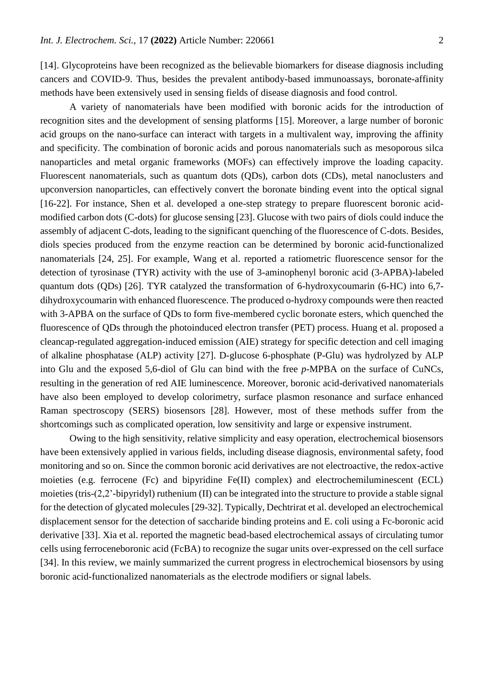[14]. Glycoproteins have been recognized as the believable biomarkers for disease diagnosis including cancers and COVID-9. Thus, besides the prevalent antibody-based immunoassays, boronate-affinity methods have been extensively used in sensing fields of disease diagnosis and food control.

A variety of nanomaterials have been modified with boronic acids for the introduction of recognition sites and the development of sensing platforms [15]. Moreover, a large number of boronic acid groups on the nano-surface can interact with targets in a multivalent way, improving the affinity and specificity. The combination of boronic acids and porous nanomaterials such as mesoporous silca nanoparticles and metal organic frameworks (MOFs) can effectively improve the loading capacity. Fluorescent nanomaterials, such as quantum dots (QDs), carbon dots (CDs), metal nanoclusters and upconversion nanoparticles, can effectively convert the boronate binding event into the optical signal [16-22]. For instance, Shen et al. developed a one-step strategy to prepare fluorescent boronic acidmodified carbon dots (C-dots) for glucose sensing [23]. Glucose with two pairs of diols could induce the assembly of adjacent C-dots, leading to the significant quenching of the fluorescence of C-dots. Besides, diols species produced from the enzyme reaction can be determined by boronic acid-functionalized nanomaterials [24, 25]. For example, Wang et al. reported a ratiometric fluorescence sensor for the detection of tyrosinase (TYR) activity with the use of 3-aminophenyl boronic acid (3-APBA)-labeled quantum dots (QDs) [26]. TYR catalyzed the transformation of 6-hydroxycoumarin (6-HC) into 6,7 dihydroxycoumarin with enhanced fluorescence. The produced o-hydroxy compounds were then reacted with 3-APBA on the surface of QDs to form five-membered cyclic boronate esters, which quenched the fluorescence of QDs through the photoinduced electron transfer (PET) process. Huang et al. proposed a cleancap-regulated aggregation-induced emission (AIE) strategy for specific detection and cell imaging of alkaline phosphatase (ALP) activity [27]. D-glucose 6-phosphate (P-Glu) was hydrolyzed by ALP into Glu and the exposed 5,6-diol of Glu can bind with the free *p*-MPBA on the surface of CuNCs, resulting in the generation of red AIE luminescence. Moreover, boronic acid-derivatived nanomaterials have also been employed to develop colorimetry, surface plasmon resonance and surface enhanced Raman spectroscopy (SERS) biosensors [28]. However, most of these methods suffer from the shortcomings such as complicated operation, low sensitivity and large or expensive instrument.

Owing to the high sensitivity, relative simplicity and easy operation, electrochemical biosensors have been extensively applied in various fields, including disease diagnosis, environmental safety, food monitoring and so on. Since the common boronic acid derivatives are not electroactive, the redox-active moieties (e.g. ferrocene (Fc) and bipyridine Fe(II) complex) and electrochemiluminescent (ECL) moieties (tris-(2,2'-bipyridyl) ruthenium (II) can be integrated into the structure to provide a stable signal for the detection of glycated molecules [29-32]. Typically, Dechtrirat et al. developed an electrochemical displacement sensor for the detection of saccharide binding proteins and E. coli using a Fc-boronic acid derivative [33]. Xia et al. reported the magnetic bead-based electrochemical assays of circulating tumor cells using ferroceneboronic acid (FcBA) to recognize the sugar units over-expressed on the cell surface [34]. In this review, we mainly summarized the current progress in electrochemical biosensors by using boronic acid-functionalized nanomaterials as the electrode modifiers or signal labels.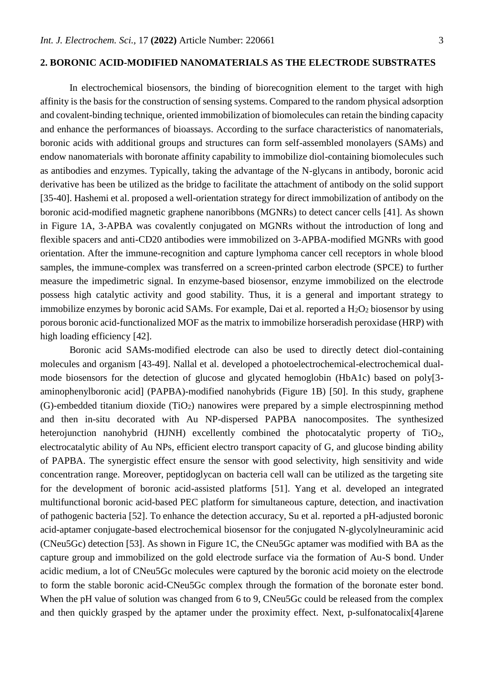## **2. BORONIC ACID-MODIFIED NANOMATERIALS AS THE ELECTRODE SUBSTRATES**

In electrochemical biosensors, the binding of biorecognition element to the target with high affinity is the basis for the construction of sensing systems. Compared to the random physical adsorption and covalent-binding technique, oriented immobilization of biomolecules can retain the binding capacity and enhance the performances of bioassays. According to the surface characteristics of nanomaterials, boronic acids with additional groups and structures can form self-assembled monolayers (SAMs) and endow nanomaterials with boronate affinity capability to immobilize diol-containing biomolecules such as antibodies and enzymes. Typically, taking the advantage of the N-glycans in antibody, boronic acid derivative has been be utilized as the bridge to facilitate the attachment of antibody on the solid support [35-40]. Hashemi et al. proposed a well-orientation strategy for direct immobilization of antibody on the boronic acid-modified magnetic graphene nanoribbons (MGNRs) to detect cancer cells [41]. As shown in Figure 1A, 3-APBA was covalently conjugated on MGNRs without the introduction of long and flexible spacers and anti-CD20 antibodies were immobilized on 3-APBA-modified MGNRs with good orientation. After the immune-recognition and capture lymphoma cancer cell receptors in whole blood samples, the immune-complex was transferred on a screen-printed carbon electrode (SPCE) to further measure the impedimetric signal. In enzyme-based biosensor, enzyme immobilized on the electrode possess high catalytic activity and good stability. Thus, it is a general and important strategy to immobilize enzymes by boronic acid SAMs. For example, Dai et al. reported a  $H_2O_2$  biosensor by using porous boronic acid-functionalized MOF as the matrix to immobilize horseradish peroxidase (HRP) with high loading efficiency [42].

Boronic acid SAMs-modified electrode can also be used to directly detect diol-containing molecules and organism [43-49]. Nallal et al. developed a photoelectrochemical-electrochemical dualmode biosensors for the detection of glucose and glycated hemoglobin (HbA1c) based on poly[3 aminophenylboronic acid] (PAPBA)-modified nanohybrids (Figure 1B) [50]. In this study, graphene  $(G)$ -embedded titanium dioxide  $(TiO<sub>2</sub>)$  nanowires were prepared by a simple electrospinning method and then in-situ decorated with Au NP-dispersed PAPBA nanocomposites. The synthesized heterojunction nanohybrid (HJNH) excellently combined the photocatalytic property of TiO<sub>2</sub>, electrocatalytic ability of Au NPs, efficient electro transport capacity of G, and glucose binding ability of PAPBA. The synergistic effect ensure the sensor with good selectivity, high sensitivity and wide concentration range. Moreover, peptidoglycan on bacteria cell wall can be utilized as the targeting site for the development of boronic acid-assisted platforms [51]. Yang et al. developed an integrated multifunctional boronic acid-based PEC platform for simultaneous capture, detection, and inactivation of pathogenic bacteria [52]. To enhance the detection accuracy, Su et al. reported a pH-adjusted boronic acid-aptamer conjugate-based electrochemical biosensor for the conjugated N-glycolylneuraminic acid (CNeu5Gc) detection [53]. As shown in Figure 1C, the CNeu5Gc aptamer was modified with BA as the capture group and immobilized on the gold electrode surface via the formation of Au-S bond. Under acidic medium, a lot of CNeu5Gc molecules were captured by the boronic acid moiety on the electrode to form the stable boronic acid-CNeu5Gc complex through the formation of the boronate ester bond. When the pH value of solution was changed from 6 to 9, CNeu5Gc could be released from the complex and then quickly grasped by the aptamer under the proximity effect. Next, p-sulfonatocalix[4]arene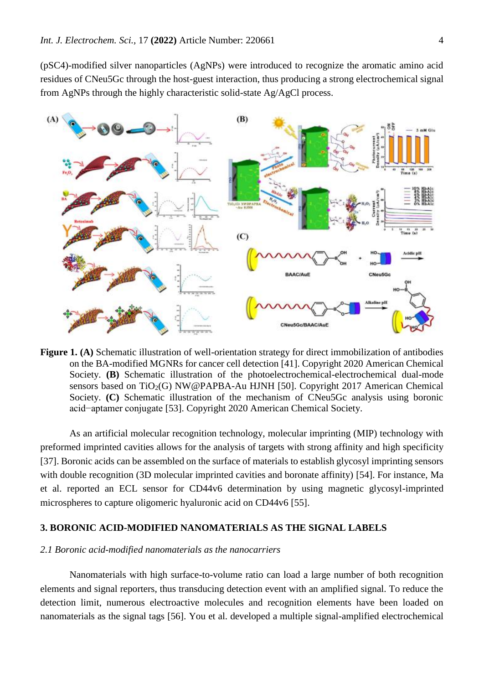(pSC4)-modified silver nanoparticles (AgNPs) were introduced to recognize the aromatic amino acid residues of CNeu5Gc through the host-guest interaction, thus producing a strong electrochemical signal from AgNPs through the highly characteristic solid-state Ag/AgCl process.



**Figure 1. (A)** Schematic illustration of well-orientation strategy for direct immobilization of antibodies on the BA-modified MGNRs for cancer cell detection [41]. Copyright 2020 American Chemical Society. **(B)** Schematic illustration of the photoelectrochemical-electrochemical dual-mode sensors based on  $TiO<sub>2</sub>(G) NW@PAPBA-Au HJNH [50]$ . Copyright 2017 American Chemical Society. **(C)** Schematic illustration of the mechanism of CNeu5Gc analysis using boronic acid−aptamer conjugate [53]. Copyright 2020 American Chemical Society.

As an artificial molecular recognition technology, molecular imprinting (MIP) technology with preformed imprinted cavities allows for the analysis of targets with strong affinity and high specificity [37]. Boronic acids can be assembled on the surface of materials to establish glycosyl imprinting sensors with double recognition (3D molecular imprinted cavities and boronate affinity) [54]. For instance, Ma et al. reported an ECL sensor for CD44v6 determination by using magnetic glycosyl-imprinted microspheres to capture oligomeric hyaluronic acid on CD44v6 [55].

### **3. BORONIC ACID-MODIFIED NANOMATERIALS AS THE SIGNAL LABELS**

#### *2.1 Boronic acid-modified nanomaterials as the nanocarriers*

Nanomaterials with high surface-to-volume ratio can load a large number of both recognition elements and signal reporters, thus transducing detection event with an amplified signal. To reduce the detection limit, numerous electroactive molecules and recognition elements have been loaded on nanomaterials as the signal tags [56]. You et al. developed a multiple signal-amplified electrochemical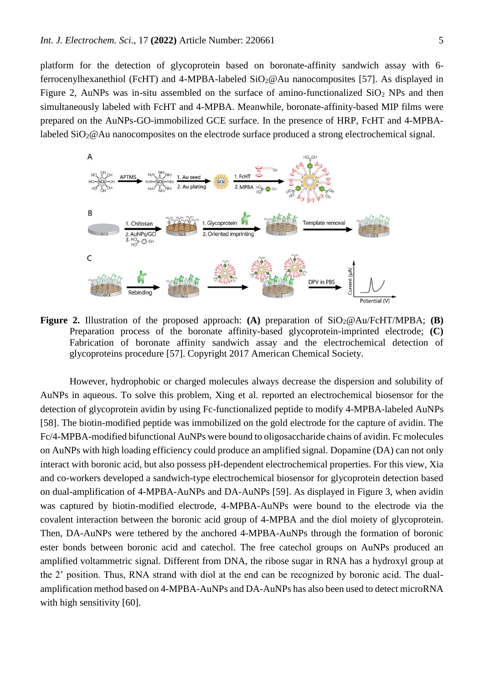platform for the detection of glycoprotein based on boronate-affinity sandwich assay with 6 ferrocenylhexanethiol (FcHT) and 4-MPBA-labeled SiO2@Au nanocomposites [57]. As displayed in Figure 2, AuNPs was in-situ assembled on the surface of amino-functionalized  $SiO<sub>2</sub>$  NPs and then simultaneously labeled with FcHT and 4-MPBA. Meanwhile, boronate-affinity-based MIP films were prepared on the AuNPs-GO-immobilized GCE surface. In the presence of HRP, FcHT and 4-MPBAlabeled  $SiO_2@Au$  nanocomposites on the electrode surface produced a strong electrochemical signal.



**Figure 2.** Illustration of the proposed approach: **(A)** preparation of  $SiO_2@Au/FeHT/MPBA$ ; **(B)** Preparation process of the boronate affinity-based glycoprotein-imprinted electrode; **(C)**  Fabrication of boronate affinity sandwich assay and the electrochemical detection of glycoproteins procedure [57]. Copyright 2017 American Chemical Society.

However, hydrophobic or charged molecules always decrease the dispersion and solubility of AuNPs in aqueous. To solve this problem, Xing et al. reported an electrochemical biosensor for the detection of glycoprotein avidin by using Fc-functionalized peptide to modify 4-MPBA-labeled AuNPs [58]. The biotin-modified peptide was immobilized on the gold electrode for the capture of avidin. The Fc/4-MPBA-modified bifunctional AuNPs were bound to oligosaccharide chains of avidin. Fc molecules on AuNPs with high loading efficiency could produce an amplified signal. Dopamine (DA) can not only interact with boronic acid, but also possess pH-dependent electrochemical properties. For this view, Xia and co-workers developed a sandwich-type electrochemical biosensor for glycoprotein detection based on dual-amplification of 4-MPBA-AuNPs and DA-AuNPs [59]. As displayed in Figure 3, when avidin was captured by biotin-modified electrode, 4-MPBA-AuNPs were bound to the electrode via the covalent interaction between the boronic acid group of 4-MPBA and the diol moiety of glycoprotein. Then, DA-AuNPs were tethered by the anchored 4-MPBA-AuNPs through the formation of boronic ester bonds between boronic acid and catechol. The free catechol groups on AuNPs produced an amplified voltammetric signal. Different from DNA, the ribose sugar in RNA has a hydroxyl group at the 2' position. Thus, RNA strand with diol at the end can be recognized by boronic acid. The dualamplification method based on 4-MPBA-AuNPs and DA-AuNPs has also been used to detect microRNA with high sensitivity [60].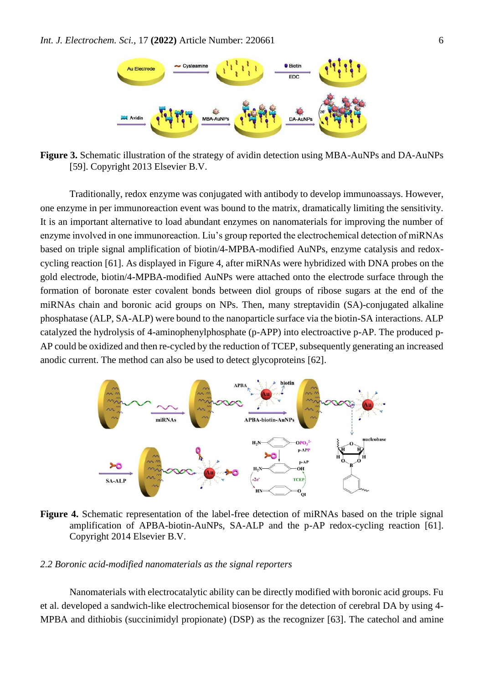

**Figure 3.** Schematic illustration of the strategy of avidin detection using MBA-AuNPs and DA-AuNPs [59]. Copyright 2013 Elsevier B.V.

Traditionally, redox enzyme was conjugated with antibody to develop immunoassays. However, one enzyme in per immunoreaction event was bound to the matrix, dramatically limiting the sensitivity. It is an important alternative to load abundant enzymes on nanomaterials for improving the number of enzyme involved in one immunoreaction. Liu's group reported the electrochemical detection of miRNAs based on triple signal amplification of biotin/4-MPBA-modified AuNPs, enzyme catalysis and redoxcycling reaction [61]. As displayed in Figure 4, after miRNAs were hybridized with DNA probes on the gold electrode, biotin/4-MPBA-modified AuNPs were attached onto the electrode surface through the formation of boronate ester covalent bonds between diol groups of ribose sugars at the end of the miRNAs chain and boronic acid groups on NPs. Then, many streptavidin (SA)-conjugated alkaline phosphatase (ALP, SA-ALP) were bound to the nanoparticle surface via the biotin-SA interactions. ALP catalyzed the hydrolysis of 4-aminophenylphosphate (p-APP) into electroactive p-AP. The produced p-AP could be oxidized and then re-cycled by the reduction of TCEP, subsequently generating an increased anodic current. The method can also be used to detect glycoproteins [62].



**Figure 4.** Schematic representation of the label-free detection of miRNAs based on the triple signal amplification of APBA-biotin-AuNPs, SA-ALP and the p-AP redox-cycling reaction [61]. Copyright 2014 Elsevier B.V.

#### *2.2 Boronic acid-modified nanomaterials as the signal reporters*

Nanomaterials with electrocatalytic ability can be directly modified with boronic acid groups. Fu et al. developed a sandwich-like electrochemical biosensor for the detection of cerebral DA by using 4- MPBA and dithiobis (succinimidyl propionate) (DSP) as the recognizer [63]. The catechol and amine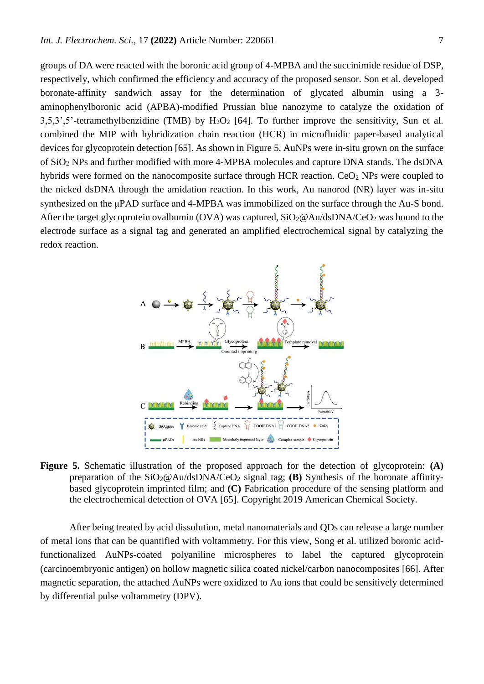groups of DA were reacted with the boronic acid group of 4-MPBA and the succinimide residue of DSP, respectively, which confirmed the efficiency and accuracy of the proposed sensor. Son et al. developed boronate-affinity sandwich assay for the determination of glycated albumin using a 3 aminophenylboronic acid (APBA)-modified Prussian blue nanozyme to catalyze the oxidation of  $3.5.3$ ',5'-tetramethylbenzidine (TMB) by  $H_2O_2$  [64]. To further improve the sensitivity, Sun et al. combined the MIP with hybridization chain reaction (HCR) in microfluidic paper-based analytical devices for glycoprotein detection [65]. As shown in Figure 5, AuNPs were in-situ grown on the surface of SiO<sup>2</sup> NPs and further modified with more 4-MPBA molecules and capture DNA stands. The dsDNA hybrids were formed on the nanocomposite surface through HCR reaction.  $CeO<sub>2</sub>$  NPs were coupled to the nicked dsDNA through the amidation reaction. In this work, Au nanorod (NR) layer was in-situ synthesized on the μPAD surface and 4-MPBA was immobilized on the surface through the Au-S bond. After the target glycoprotein ovalbumin (OVA) was captured,  $SiO_2@Au/dsDNA/CeO_2$  was bound to the electrode surface as a signal tag and generated an amplified electrochemical signal by catalyzing the redox reaction.



**Figure 5.** Schematic illustration of the proposed approach for the detection of glycoprotein: **(A)** preparation of the  $SiO_2@Au/dsDNA/CeO_2$  signal tag; **(B)** Synthesis of the boronate affinitybased glycoprotein imprinted film; and **(C)** Fabrication procedure of the sensing platform and the electrochemical detection of OVA [65]. Copyright 2019 American Chemical Society.

After being treated by acid dissolution, metal nanomaterials and QDs can release a large number of metal ions that can be quantified with voltammetry. For this view, Song et al. utilized boronic acidfunctionalized AuNPs-coated polyaniline microspheres to label the captured glycoprotein (carcinoembryonic antigen) on hollow magnetic silica coated nickel/carbon nanocomposites [66]. After magnetic separation, the attached AuNPs were oxidized to Au ions that could be sensitively determined by differential pulse voltammetry (DPV).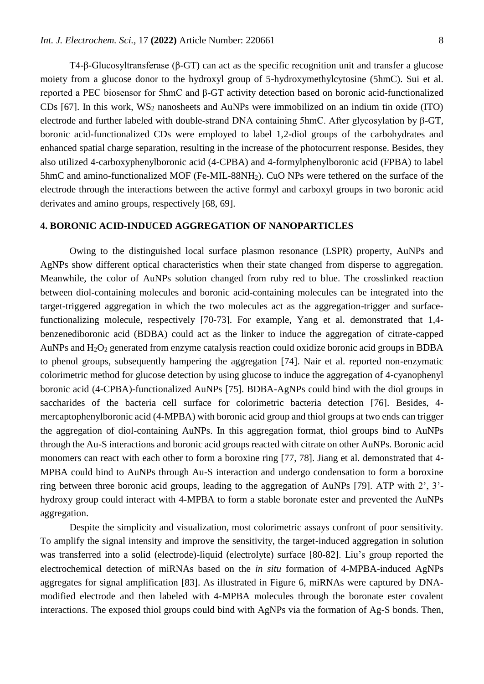T4-β-Glucosyltransferase (β-GT) can act as the specific recognition unit and transfer a glucose moiety from a glucose donor to the hydroxyl group of 5-hydroxymethylcytosine (5hmC). Sui et al. reported a PEC biosensor for 5hmC and β-GT activity detection based on boronic acid-functionalized CDs [67]. In this work,  $WS_2$  nanosheets and AuNPs were immobilized on an indium tin oxide (ITO) electrode and further labeled with double-strand DNA containing 5hmC. After glycosylation by β-GT, boronic acid-functionalized CDs were employed to label 1,2-diol groups of the carbohydrates and enhanced spatial charge separation, resulting in the increase of the photocurrent response. Besides, they also utilized 4-carboxyphenylboronic acid (4-CPBA) and 4-formylphenylboronic acid (FPBA) to label 5hmC and amino-functionalized MOF (Fe-MIL-88NH2). CuO NPs were tethered on the surface of the electrode through the interactions between the active formyl and carboxyl groups in two boronic acid derivates and amino groups, respectively [68, 69].

#### **4. BORONIC ACID-INDUCED AGGREGATION OF NANOPARTICLES**

Owing to the distinguished local surface plasmon resonance (LSPR) property, AuNPs and AgNPs show different optical characteristics when their state changed from disperse to aggregation. Meanwhile, the color of AuNPs solution changed from ruby red to blue. The crosslinked reaction between diol-containing molecules and boronic acid-containing molecules can be integrated into the target-triggered aggregation in which the two molecules act as the aggregation-trigger and surfacefunctionalizing molecule, respectively [70-73]. For example, Yang et al. demonstrated that 1,4 benzenediboronic acid (BDBA) could act as the linker to induce the aggregation of citrate-capped AuNPs and  $H_2O_2$  generated from enzyme catalysis reaction could oxidize boronic acid groups in BDBA to phenol groups, subsequently hampering the aggregation [74]. Nair et al. reported non-enzymatic colorimetric method for glucose detection by using glucose to induce the aggregation of 4-cyanophenyl boronic acid (4-CPBA)-functionalized AuNPs [75]. BDBA-AgNPs could bind with the diol groups in saccharides of the bacteria cell surface for colorimetric bacteria detection [76]. Besides, 4 mercaptophenylboronic acid (4-MPBA) with boronic acid group and thiol groups at two ends can trigger the aggregation of diol-containing AuNPs. In this aggregation format, thiol groups bind to AuNPs through the Au-S interactions and boronic acid groups reacted with citrate on other AuNPs. Boronic acid monomers can react with each other to form a boroxine ring [77, 78]. Jiang et al. demonstrated that 4- MPBA could bind to AuNPs through Au-S interaction and undergo condensation to form a boroxine ring between three boronic acid groups, leading to the aggregation of AuNPs [79]. ATP with 2', 3' hydroxy group could interact with 4-MPBA to form a stable boronate ester and prevented the AuNPs aggregation.

Despite the simplicity and visualization, most colorimetric assays confront of poor sensitivity. To amplify the signal intensity and improve the sensitivity, the target-induced aggregation in solution was transferred into a solid (electrode)-liquid (electrolyte) surface [80-82]. Liu's group reported the electrochemical detection of miRNAs based on the *in situ* formation of 4-MPBA-induced AgNPs aggregates for signal amplification [83]. As illustrated in Figure 6, miRNAs were captured by DNAmodified electrode and then labeled with 4-MPBA molecules through the boronate ester covalent interactions. The exposed thiol groups could bind with AgNPs via the formation of Ag-S bonds. Then,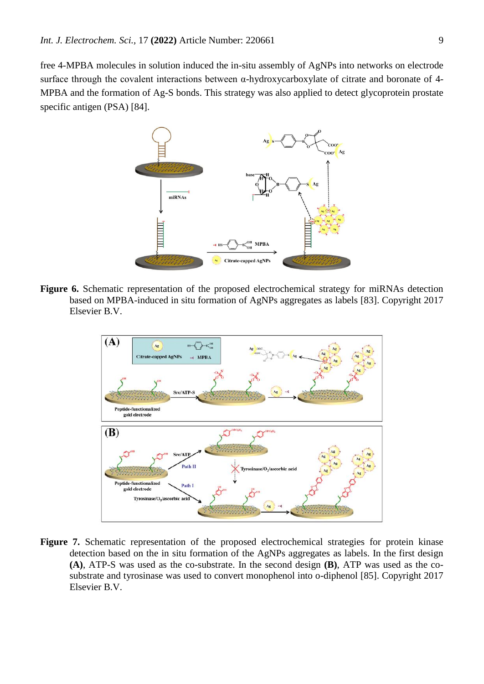free 4-MPBA molecules in solution induced the in-situ assembly of AgNPs into networks on electrode surface through the covalent interactions between α-hydroxycarboxylate of citrate and boronate of 4- MPBA and the formation of Ag-S bonds. This strategy was also applied to detect glycoprotein prostate specific antigen (PSA) [84].



**Figure 6.** Schematic representation of the proposed electrochemical strategy for miRNAs detection based on MPBA-induced in situ formation of AgNPs aggregates as labels [83]. Copyright 2017 Elsevier B.V.



**Figure 7.** Schematic representation of the proposed electrochemical strategies for protein kinase detection based on the in situ formation of the AgNPs aggregates as labels. In the first design **(A)**, ATP-S was used as the co-substrate. In the second design **(B)**, ATP was used as the cosubstrate and tyrosinase was used to convert monophenol into o-diphenol [85]. Copyright 2017 Elsevier B.V.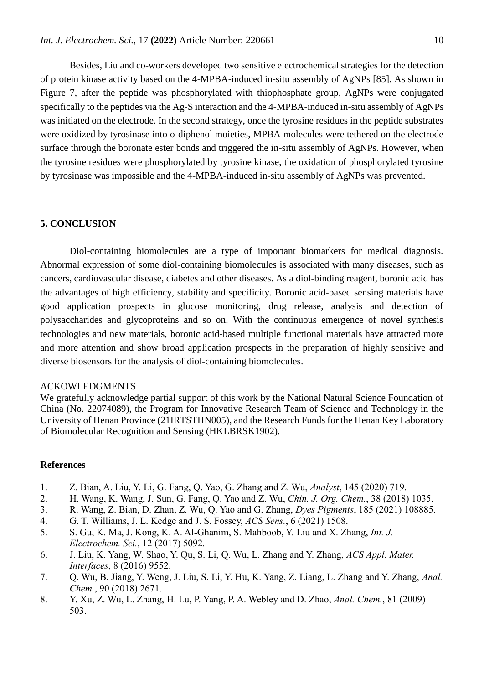Besides, Liu and co-workers developed two sensitive electrochemical strategies for the detection of protein kinase activity based on the 4-MPBA-induced in-situ assembly of AgNPs [85]. As shown in Figure 7, after the peptide was phosphorylated with thiophosphate group, AgNPs were conjugated specifically to the peptides via the Ag-S interaction and the 4-MPBA-induced in-situ assembly of AgNPs was initiated on the electrode. In the second strategy, once the tyrosine residues in the peptide substrates were oxidized by tyrosinase into o-diphenol moieties, MPBA molecules were tethered on the electrode surface through the boronate ester bonds and triggered the in-situ assembly of AgNPs. However, when the tyrosine residues were phosphorylated by tyrosine kinase, the oxidation of phosphorylated tyrosine by tyrosinase was impossible and the 4-MPBA-induced in-situ assembly of AgNPs was prevented.

#### **5. CONCLUSION**

Diol-containing biomolecules are a type of important biomarkers for medical diagnosis. Abnormal expression of some diol-containing biomolecules is associated with many diseases, such as cancers, cardiovascular disease, diabetes and other diseases. As a diol-binding reagent, boronic acid has the advantages of high efficiency, stability and specificity. Boronic acid-based sensing materials have good application prospects in glucose monitoring, drug release, analysis and detection of polysaccharides and glycoproteins and so on. With the continuous emergence of novel synthesis technologies and new materials, boronic acid-based multiple functional materials have attracted more and more attention and show broad application prospects in the preparation of highly sensitive and diverse biosensors for the analysis of diol-containing biomolecules.

### ACKOWLEDGMENTS

We gratefully acknowledge partial support of this work by the National Natural Science Foundation of China (No. 22074089), the Program for Innovative Research Team of Science and Technology in the University of Henan Province (21IRTSTHN005), and the Research Funds for the Henan Key Laboratory of Biomolecular Recognition and Sensing (HKLBRSK1902).

#### **References**

- 1. Z. Bian, A. Liu, Y. Li, G. Fang, Q. Yao, G. Zhang and Z. Wu, *Analyst*, 145 (2020) 719.
- 2. H. Wang, K. Wang, J. Sun, G. Fang, Q. Yao and Z. Wu, *Chin. J. Org. Chem.*, 38 (2018) 1035.
- 3. R. Wang, Z. Bian, D. Zhan, Z. Wu, Q. Yao and G. Zhang, *Dyes Pigments*, 185 (2021) 108885.
- 4. G. T. Williams, J. L. Kedge and J. S. Fossey, *ACS Sens.*, 6 (2021) 1508.
- 5. S. Gu, K. Ma, J. Kong, K. A. Al-Ghanim, S. Mahboob, Y. Liu and X. Zhang, *Int. J. Electrochem. Sci.*, 12 (2017) 5092.
- 6. J. Liu, K. Yang, W. Shao, Y. Qu, S. Li, Q. Wu, L. Zhang and Y. Zhang, *ACS Appl. Mater. Interfaces*, 8 (2016) 9552.
- 7. Q. Wu, B. Jiang, Y. Weng, J. Liu, S. Li, Y. Hu, K. Yang, Z. Liang, L. Zhang and Y. Zhang, *Anal. Chem.*, 90 (2018) 2671.
- 8. Y. Xu, Z. Wu, L. Zhang, H. Lu, P. Yang, P. A. Webley and D. Zhao, *Anal. Chem.*, 81 (2009) 503.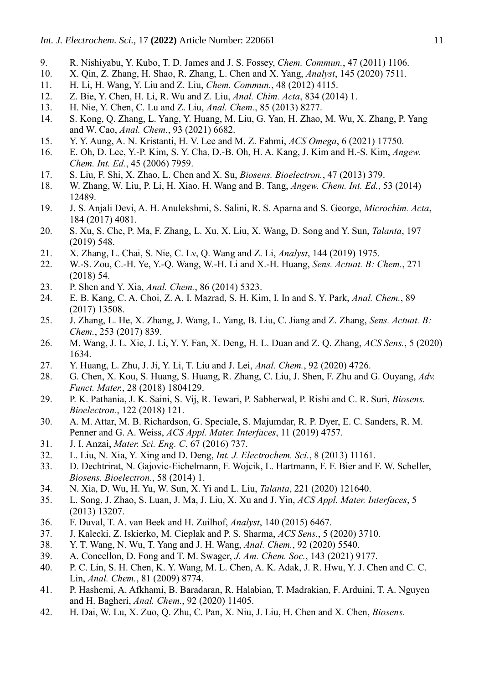- 9. R. Nishiyabu, Y. Kubo, T. D. James and J. S. Fossey, *Chem. Commun.*, 47 (2011) 1106.
- 10. X. Qin, Z. Zhang, H. Shao, R. Zhang, L. Chen and X. Yang, *Analyst*, 145 (2020) 7511.
- 11. H. Li, H. Wang, Y. Liu and Z. Liu, *Chem. Commun.*, 48 (2012) 4115.
- 12. Z. Bie, Y. Chen, H. Li, R. Wu and Z. Liu, *Anal. Chim. Acta*, 834 (2014) 1.
- 13. H. Nie, Y. Chen, C. Lu and Z. Liu, *Anal. Chem.*, 85 (2013) 8277.
- 14. S. Kong, Q. Zhang, L. Yang, Y. Huang, M. Liu, G. Yan, H. Zhao, M. Wu, X. Zhang, P. Yang and W. Cao, *Anal. Chem.*, 93 (2021) 6682.
- 15. Y. Y. Aung, A. N. Kristanti, H. V. Lee and M. Z. Fahmi, *ACS Omega*, 6 (2021) 17750.
- 16. E. Oh, D. Lee, Y.-P. Kim, S. Y. Cha, D.-B. Oh, H. A. Kang, J. Kim and H.-S. Kim, *Angew. Chem. Int. Ed.*, 45 (2006) 7959.
- 17. S. Liu, F. Shi, X. Zhao, L. Chen and X. Su, *Biosens. Bioelectron.*, 47 (2013) 379.
- 18. W. Zhang, W. Liu, P. Li, H. Xiao, H. Wang and B. Tang, *Angew. Chem. Int. Ed.*, 53 (2014) 12489.
- 19. J. S. Anjali Devi, A. H. Anulekshmi, S. Salini, R. S. Aparna and S. George, *Microchim. Acta*, 184 (2017) 4081.
- 20. S. Xu, S. Che, P. Ma, F. Zhang, L. Xu, X. Liu, X. Wang, D. Song and Y. Sun, *Talanta*, 197 (2019) 548.
- 21. X. Zhang, L. Chai, S. Nie, C. Lv, Q. Wang and Z. Li, *Analyst*, 144 (2019) 1975.
- 22. W.-S. Zou, C.-H. Ye, Y.-Q. Wang, W.-H. Li and X.-H. Huang, *Sens. Actuat. B: Chem.*, 271 (2018) 54.
- 23. P. Shen and Y. Xia, *Anal. Chem.*, 86 (2014) 5323.
- 24. E. B. Kang, C. A. Choi, Z. A. I. Mazrad, S. H. Kim, I. In and S. Y. Park, *Anal. Chem.*, 89 (2017) 13508.
- 25. J. Zhang, L. He, X. Zhang, J. Wang, L. Yang, B. Liu, C. Jiang and Z. Zhang, *Sens. Actuat. B: Chem.*, 253 (2017) 839.
- 26. M. Wang, J. L. Xie, J. Li, Y. Y. Fan, X. Deng, H. L. Duan and Z. Q. Zhang, *ACS Sens.*, 5 (2020) 1634.
- 27. Y. Huang, L. Zhu, J. Ji, Y. Li, T. Liu and J. Lei, *Anal. Chem.*, 92 (2020) 4726.
- 28. G. Chen, X. Kou, S. Huang, S. Huang, R. Zhang, C. Liu, J. Shen, F. Zhu and G. Ouyang, *Adv. Funct. Mater.*, 28 (2018) 1804129.
- 29. P. K. Pathania, J. K. Saini, S. Vij, R. Tewari, P. Sabherwal, P. Rishi and C. R. Suri, *Biosens. Bioelectron.*, 122 (2018) 121.
- 30. A. M. Attar, M. B. Richardson, G. Speciale, S. Majumdar, R. P. Dyer, E. C. Sanders, R. M. Penner and G. A. Weiss, *ACS Appl. Mater. Interfaces*, 11 (2019) 4757.
- 31. J. I. Anzai, *Mater. Sci. Eng. C*, 67 (2016) 737.
- 32. L. Liu, N. Xia, Y. Xing and D. Deng, *Int. J. Electrochem. Sci.*, 8 (2013) 11161.
- 33. D. Dechtrirat, N. Gajovic-Eichelmann, F. Wojcik, L. Hartmann, F. F. Bier and F. W. Scheller, *Biosens. Bioelectron.*, 58 (2014) 1.
- 34. N. Xia, D. Wu, H. Yu, W. Sun, X. Yi and L. Liu, *Talanta*, 221 (2020) 121640.
- 35. L. Song, J. Zhao, S. Luan, J. Ma, J. Liu, X. Xu and J. Yin, *ACS Appl. Mater. Interfaces*, 5 (2013) 13207.
- 36. F. Duval, T. A. van Beek and H. Zuilhof, *Analyst*, 140 (2015) 6467.
- 37. J. Kalecki, Z. Iskierko, M. Cieplak and P. S. Sharma, *ACS Sens.*, 5 (2020) 3710.
- 38. Y. T. Wang, N. Wu, T. Yang and J. H. Wang, *Anal. Chem.*, 92 (2020) 5540.
- 39. A. Concellon, D. Fong and T. M. Swager, *J. Am. Chem. Soc.*, 143 (2021) 9177.
- 40. P. C. Lin, S. H. Chen, K. Y. Wang, M. L. Chen, A. K. Adak, J. R. Hwu, Y. J. Chen and C. C. Lin, *Anal. Chem.*, 81 (2009) 8774.
- 41. P. Hashemi, A. Afkhami, B. Baradaran, R. Halabian, T. Madrakian, F. Arduini, T. A. Nguyen and H. Bagheri, *Anal. Chem.*, 92 (2020) 11405.
- 42. H. Dai, W. Lu, X. Zuo, Q. Zhu, C. Pan, X. Niu, J. Liu, H. Chen and X. Chen, *Biosens.*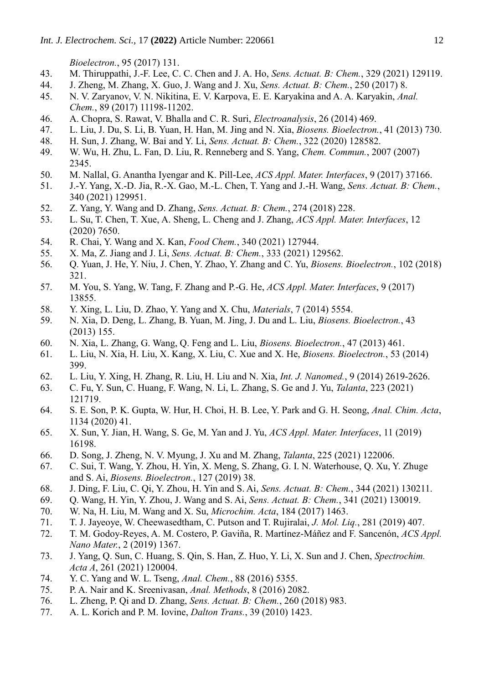*Bioelectron.*, 95 (2017) 131.

- 43. M. Thiruppathi, J.-F. Lee, C. C. Chen and J. A. Ho, *Sens. Actuat. B: Chem.*, 329 (2021) 129119.
- 44. J. Zheng, M. Zhang, X. Guo, J. Wang and J. Xu, *Sens. Actuat. B: Chem.*, 250 (2017) 8.
- 45. N. V. Zaryanov, V. N. Nikitina, E. V. Karpova, E. E. Karyakina and A. A. Karyakin, *Anal. Chem.*, 89 (2017) 11198-11202.
- 46. A. Chopra, S. Rawat, V. Bhalla and C. R. Suri, *Electroanalysis*, 26 (2014) 469.
- 47. L. Liu, J. Du, S. Li, B. Yuan, H. Han, M. Jing and N. Xia, *Biosens. Bioelectron.*, 41 (2013) 730.
- 48. H. Sun, J. Zhang, W. Bai and Y. Li, *Sens. Actuat. B: Chem.*, 322 (2020) 128582.
- 49. W. Wu, H. Zhu, L. Fan, D. Liu, R. Renneberg and S. Yang, *Chem. Commun.*, 2007 (2007) 2345.
- 50. M. Nallal, G. Anantha Iyengar and K. Pill-Lee, *ACS Appl. Mater. Interfaces*, 9 (2017) 37166.
- 51. J.-Y. Yang, X.-D. Jia, R.-X. Gao, M.-L. Chen, T. Yang and J.-H. Wang, *Sens. Actuat. B: Chem.*, 340 (2021) 129951.
- 52. Z. Yang, Y. Wang and D. Zhang, *Sens. Actuat. B: Chem.*, 274 (2018) 228.
- 53. L. Su, T. Chen, T. Xue, A. Sheng, L. Cheng and J. Zhang, *ACS Appl. Mater. Interfaces*, 12 (2020) 7650.
- 54. R. Chai, Y. Wang and X. Kan, *Food Chem.*, 340 (2021) 127944.
- 55. X. Ma, Z. Jiang and J. Li, *Sens. Actuat. B: Chem.*, 333 (2021) 129562.
- 56. Q. Yuan, J. He, Y. Niu, J. Chen, Y. Zhao, Y. Zhang and C. Yu, *Biosens. Bioelectron.*, 102 (2018) 321.
- 57. M. You, S. Yang, W. Tang, F. Zhang and P.-G. He, *ACS Appl. Mater. Interfaces*, 9 (2017) 13855.
- 58. Y. Xing, L. Liu, D. Zhao, Y. Yang and X. Chu, *Materials*, 7 (2014) 5554.
- 59. N. Xia, D. Deng, L. Zhang, B. Yuan, M. Jing, J. Du and L. Liu, *Biosens. Bioelectron.*, 43 (2013) 155.
- 60. N. Xia, L. Zhang, G. Wang, Q. Feng and L. Liu, *Biosens. Bioelectron.*, 47 (2013) 461.
- 61. L. Liu, N. Xia, H. Liu, X. Kang, X. Liu, C. Xue and X. He, *Biosens. Bioelectron.*, 53 (2014) 399.
- 62. L. Liu, Y. Xing, H. Zhang, R. Liu, H. Liu and N. Xia, *Int. J. Nanomed.*, 9 (2014) 2619-2626.
- 63. C. Fu, Y. Sun, C. Huang, F. Wang, N. Li, L. Zhang, S. Ge and J. Yu, *Talanta*, 223 (2021) 121719.
- 64. S. E. Son, P. K. Gupta, W. Hur, H. Choi, H. B. Lee, Y. Park and G. H. Seong, *Anal. Chim. Acta*, 1134 (2020) 41.
- 65. X. Sun, Y. Jian, H. Wang, S. Ge, M. Yan and J. Yu, *ACS Appl. Mater. Interfaces*, 11 (2019) 16198.
- 66. D. Song, J. Zheng, N. V. Myung, J. Xu and M. Zhang, *Talanta*, 225 (2021) 122006.
- 67. C. Sui, T. Wang, Y. Zhou, H. Yin, X. Meng, S. Zhang, G. I. N. Waterhouse, Q. Xu, Y. Zhuge and S. Ai, *Biosens. Bioelectron.*, 127 (2019) 38.
- 68. J. Ding, F. Liu, C. Qi, Y. Zhou, H. Yin and S. Ai, *Sens. Actuat. B: Chem.*, 344 (2021) 130211.
- 69. Q. Wang, H. Yin, Y. Zhou, J. Wang and S. Ai, *Sens. Actuat. B: Chem.*, 341 (2021) 130019.
- 70. W. Na, H. Liu, M. Wang and X. Su, *Microchim. Acta*, 184 (2017) 1463.
- 71. T. J. Jayeoye, W. Cheewasedtham, C. Putson and T. Rujiralai, *J. Mol. Liq.*, 281 (2019) 407.
- 72. T. M. Godoy-Reyes, A. M. Costero, P. Gaviña, R. Martínez-Máñez and F. Sancenón, *ACS Appl. Nano Mater.*, 2 (2019) 1367.
- 73. J. Yang, Q. Sun, C. Huang, S. Qin, S. Han, Z. Huo, Y. Li, X. Sun and J. Chen, *Spectrochim. Acta A*, 261 (2021) 120004.
- 74. Y. C. Yang and W. L. Tseng, *Anal. Chem.*, 88 (2016) 5355.
- 75. P. A. Nair and K. Sreenivasan, *Anal. Methods*, 8 (2016) 2082.
- 76. L. Zheng, P. Qi and D. Zhang, *Sens. Actuat. B: Chem.*, 260 (2018) 983.
- 77. A. L. Korich and P. M. Iovine, *Dalton Trans.*, 39 (2010) 1423.